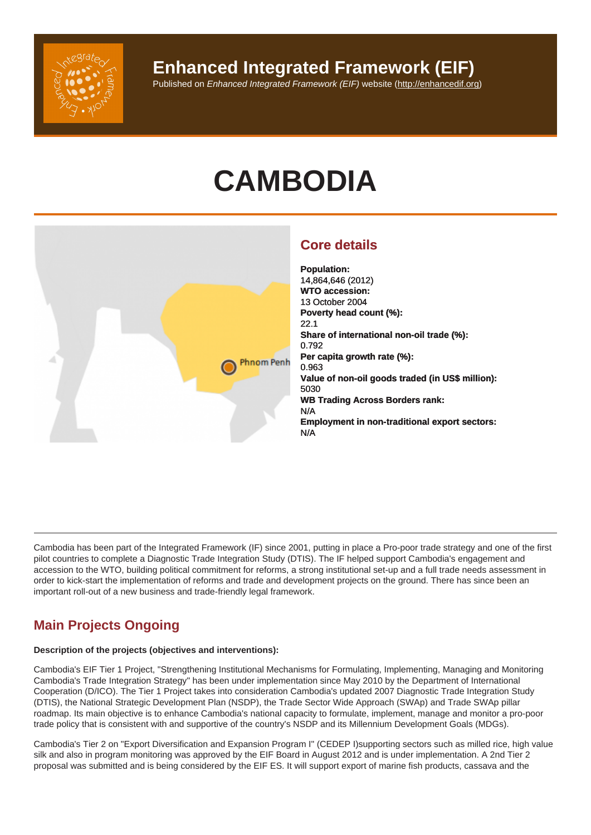# **CAMBODIA**

# Core details

Population: 14,864,646 (2012) WTO accession: 13 October 2004 Poverty head count (%): 22.1 Share of international non-oil trade (%): 0.792 Per capita growth rate (%): 0.963 Value of non-oil goods traded (in US\$ million): 5030 WB Trading Across Borders rank: N/A Employment in non-traditional export sectors: N/A

Cambodia has been part of the Integrated Framework (IF) since 2001, putting in place a Pro-poor trade strategy and one of the first pilot countries to complete a Diagnostic Trade Integration Study (DTIS). The IF helped support Cambodia's engagement and accession to the WTO, building political commitment for reforms, a strong institutional set-up and a full trade needs assessment in order to kick-start the implementation of reforms and trade and development projects on the ground. There has since been an important roll-out of a new business and trade-friendly legal framework.

# Main Projects Ongoing

Description of the projects (objectives and interventions):

Cambodia's EIF Tier 1 Project, "Strengthening Institutional Mechanisms for Formulating, Implementing, Managing and Monitoring Cambodia's Trade Integration Strategy" has been under implementation since May 2010 by the Department of International Cooperation (D/ICO). The Tier 1 Project takes into consideration Cambodia's updated 2007 Diagnostic Trade Integration Study (DTIS), the National Strategic Development Plan (NSDP), the Trade Sector Wide Approach (SWAp) and Trade SWAp pillar roadmap. Its main objective is to enhance Cambodia's national capacity to formulate, implement, manage and monitor a pro-poor trade policy that is consistent with and supportive of the country's NSDP and its Millennium Development Goals (MDGs).

Cambodia's Tier 2 on "Export Diversification and Expansion Program I" (CEDEP I)supporting sectors such as milled rice, high value silk and also in program monitoring was approved by the EIF Board in August 2012 and is under implementation. A 2nd Tier 2 proposal was submitted and is being considered by the EIF ES. It will support export of marine fish products, cassava and the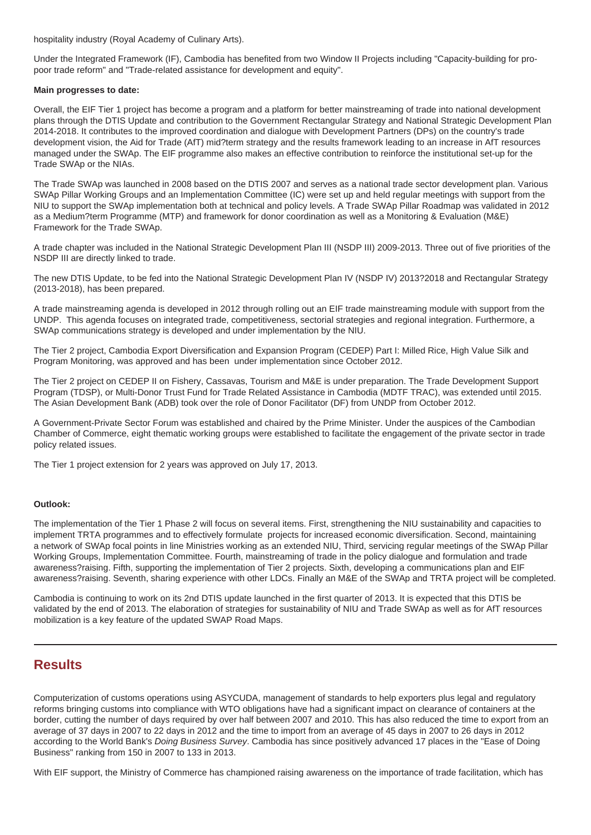hospitality industry (Royal Academy of Culinary Arts).

Under the Integrated Framework (IF), Cambodia has benefited from two Window II Projects including "Capacity-building for propoor trade reform" and "Trade-related assistance for development and equity".

#### **Main progresses to date:**

Overall, the EIF Tier 1 project has become a program and a platform for better mainstreaming of trade into national development plans through the DTIS Update and contribution to the Government Rectangular Strategy and National Strategic Development Plan 2014-2018. It contributes to the improved coordination and dialogue with Development Partners (DPs) on the country's trade development vision, the Aid for Trade (AfT) mid?term strategy and the results framework leading to an increase in AfT resources managed under the SWAp. The EIF programme also makes an effective contribution to reinforce the institutional set-up for the Trade SWAp or the NIAs.

The Trade SWAp was launched in 2008 based on the DTIS 2007 and serves as a national trade sector development plan. Various SWAp Pillar Working Groups and an Implementation Committee (IC) were set up and held regular meetings with support from the NIU to support the SWAp implementation both at technical and policy levels. A Trade SWAp Pillar Roadmap was validated in 2012 as a Medium?term Programme (MTP) and framework for donor coordination as well as a Monitoring & Evaluation (M&E) Framework for the Trade SWAp.

A trade chapter was included in the National Strategic Development Plan III (NSDP III) 2009-2013. Three out of five priorities of the NSDP III are directly linked to trade.

The new DTIS Update, to be fed into the National Strategic Development Plan IV (NSDP IV) 2013?2018 and Rectangular Strategy (2013-2018), has been prepared.

A trade mainstreaming agenda is developed in 2012 through rolling out an EIF trade mainstreaming module with support from the UNDP. This agenda focuses on integrated trade, competitiveness, sectorial strategies and regional integration. Furthermore, a SWAp communications strategy is developed and under implementation by the NIU.

The Tier 2 project, Cambodia Export Diversification and Expansion Program (CEDEP) Part I: Milled Rice, High Value Silk and Program Monitoring, was approved and has been under implementation since October 2012.

The Tier 2 project on CEDEP II on Fishery, Cassavas, Tourism and M&E is under preparation. The Trade Development Support Program (TDSP), or Multi-Donor Trust Fund for Trade Related Assistance in Cambodia (MDTF TRAC), was extended until 2015. The Asian Development Bank (ADB) took over the role of Donor Facilitator (DF) from UNDP from October 2012.

A Government-Private Sector Forum was established and chaired by the Prime Minister. Under the auspices of the Cambodian Chamber of Commerce, eight thematic working groups were established to facilitate the engagement of the private sector in trade policy related issues.

The Tier 1 project extension for 2 years was approved on July 17, 2013.

#### **Outlook:**

The implementation of the Tier 1 Phase 2 will focus on several items. First, strengthening the NIU sustainability and capacities to implement TRTA programmes and to effectively formulate projects for increased economic diversification. Second, maintaining a network of SWAp focal points in line Ministries working as an extended NIU, Third, servicing regular meetings of the SWAp Pillar Working Groups, Implementation Committee. Fourth, mainstreaming of trade in the policy dialogue and formulation and trade awareness?raising. Fifth, supporting the implementation of Tier 2 projects. Sixth, developing a communications plan and EIF awareness?raising. Seventh, sharing experience with other LDCs. Finally an M&E of the SWAp and TRTA project will be completed.

Cambodia is continuing to work on its 2nd DTIS update launched in the first quarter of 2013. It is expected that this DTIS be validated by the end of 2013. The elaboration of strategies for sustainability of NIU and Trade SWAp as well as for AfT resources mobilization is a key feature of the updated SWAP Road Maps.

# **Results**

Computerization of customs operations using ASYCUDA, management of standards to help exporters plus legal and regulatory reforms bringing customs into compliance with WTO obligations have had a significant impact on clearance of containers at the border, cutting the number of days required by over half between 2007 and 2010. This has also reduced the time to export from an average of 37 days in 2007 to 22 days in 2012 and the time to import from an average of 45 days in 2007 to 26 days in 2012 according to the World Bank's Doing Business Survey. Cambodia has since positively advanced 17 places in the "Ease of Doing Business" ranking from 150 in 2007 to 133 in 2013.

With EIF support, the Ministry of Commerce has championed raising awareness on the importance of trade facilitation, which has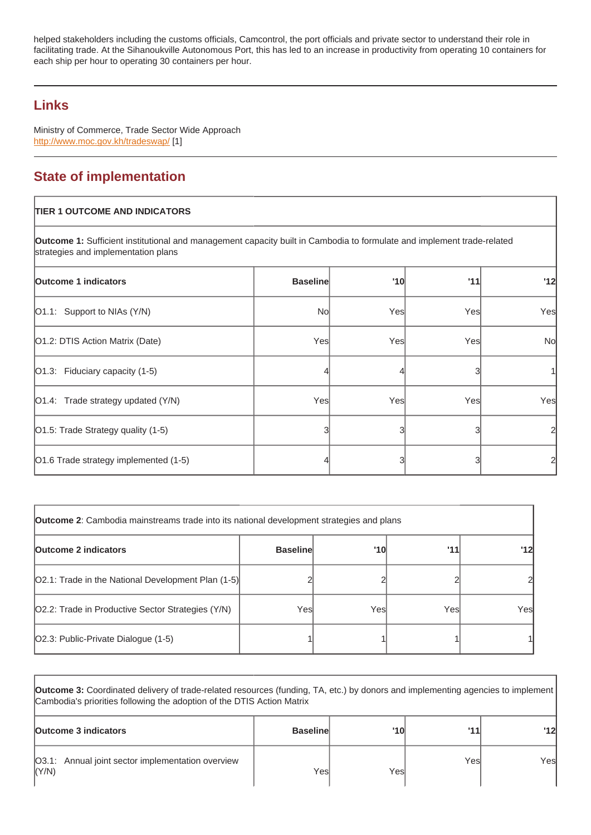facilitating trade. At the Sihanoukville Autonomous Port, this has led to an increase in productivity from operating 10 containers for each ship per hour to operating 30 containers per hour.

# Links

Ministry of Commerce, Trade Sector Wide Approach http://www.moc.gov.kh/tradeswap/ [1]

# State of implementation

| <b>TIER 1 OUTCOME AND INDICATORS</b>                                                                                                                          |                 |     |     |           |
|---------------------------------------------------------------------------------------------------------------------------------------------------------------|-----------------|-----|-----|-----------|
| Outcome 1: Sufficient institutional and management capacity built in Cambodia to formulate and implement trade-related<br>strategies and implementation plans |                 |     |     |           |
| Outcome 1 indicators                                                                                                                                          | <b>Baseline</b> | '10 | '11 | '12       |
| [O1.1: Support to NIAs (Y/N)                                                                                                                                  | No              | Yes | Yes | Yes       |
| [O1.2: DTIS Action Matrix (Date)                                                                                                                              | Yes             | Yes | Yes | <b>No</b> |
| [O1.3: Fiduciary capacity (1-5)                                                                                                                               |                 |     | 3   |           |
| [O1.4: Trade strategy updated (Y/N)                                                                                                                           | Yes             | Yes | Yes | Yes       |
| [O1.5: Trade Strategy quality (1-5)                                                                                                                           |                 | 3   |     | 2         |
| O1.6 Trade strategy implemented (1-5)                                                                                                                         |                 | 3   |     | 2         |

| Outcome 2 : Cambodia mainstreams trade into its national development strategies and plans |                 |      |      |     |
|-------------------------------------------------------------------------------------------|-----------------|------|------|-----|
| Outcome 2 indicators                                                                      | <b>Baseline</b> | '10  | '11  | '12 |
| [O2.1: Trade in the National Development Plan (1-5)]                                      |                 |      |      |     |
| O2.2: Trade in Productive Sector Strategies (Y/N)                                         | Yesl            | Yesl | Yesl | Yes |
| [O2.3: Public-Private Dialogue (1-5)                                                      |                 |      |      |     |

| Outcome 3: Coordinated delivery of trade-related resources (funding, TA, etc.) by donors and implementing agencies to implement<br>Cambodia's priorities following the adoption of the DTIS Action Matrix |                 |      |      |      |
|-----------------------------------------------------------------------------------------------------------------------------------------------------------------------------------------------------------|-----------------|------|------|------|
| Outcome 3 indicators                                                                                                                                                                                      | <b>Baseline</b> | '10l | '11  | 12   |
| 03.1: Annual joint sector implementation overview<br> (Y/N)                                                                                                                                               | Yesl            | Yesl | Yesl | Yesl |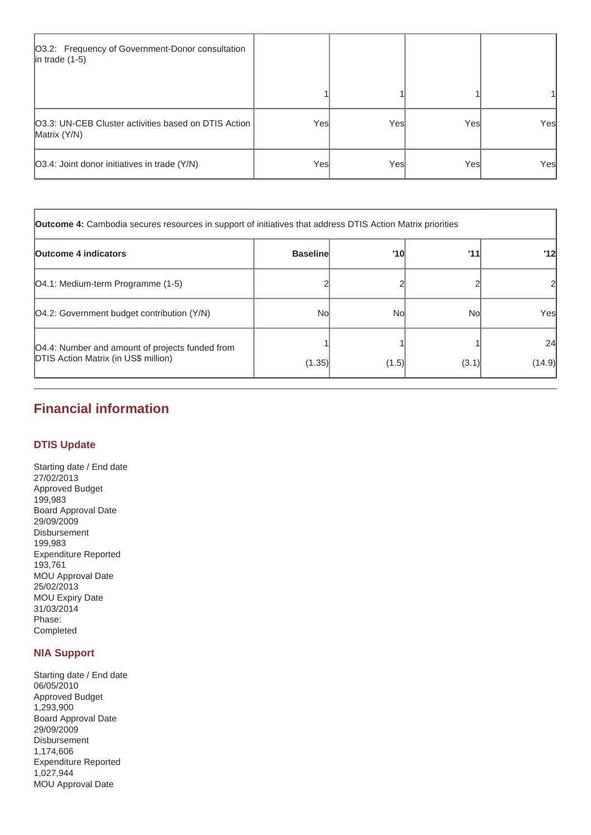| O3.2: Frequency of Government-Donor consultation<br>$ $ in trade $(1-5)$ |      |      |      |      |
|--------------------------------------------------------------------------|------|------|------|------|
|                                                                          |      |      |      |      |
| [O3.3: UN-CEB Cluster activities based on DTIS Action  <br>Matrix (Y/N)  | Yesl | Yesl | Yesl | Yes  |
| O3.4: Joint donor initiatives in trade (Y/N)                             | Yesl | Yesl | Yesl | Yesl |

| <b>Outcome 4:</b> Cambodia secures resources in support of initiatives that address DTIS Action Matrix priorities |                 |       |       |              |
|-------------------------------------------------------------------------------------------------------------------|-----------------|-------|-------|--------------|
| <b>Outcome 4 indicators</b>                                                                                       | <b>Baseline</b> | '10   | 111   | 12           |
| [O4.1: Medium-term Programme (1-5)                                                                                |                 |       |       |              |
| [O4.2: Government budget contribution (Y/N)                                                                       | <b>No</b>       | Nol   | Nol   | Yesl         |
| O4.4: Number and amount of projects funded from<br><b>DTIS Action Matrix (in US\$ million)</b>                    | (1.35)          | (1.5) | (3.1) | 24<br>(14.9) |

# **Financial information**

## **DTIS Update**

Starting date / End date 27/02/2013 Approved Budget 199,983 Board Approval Date 29/09/2009 Disbursement 199,983 Expenditure Reported 193,761 MOU Approval Date 25/02/2013 MOU Expiry Date 31/03/2014 Phase: Completed

# **NIA Support**

Starting date / End date 06/05/2010 Approved Budget 1,293,900 Board Approval Date 29/09/2009 Disbursement 1,174,606 Expenditure Reported 1,027,944 MOU Approval Date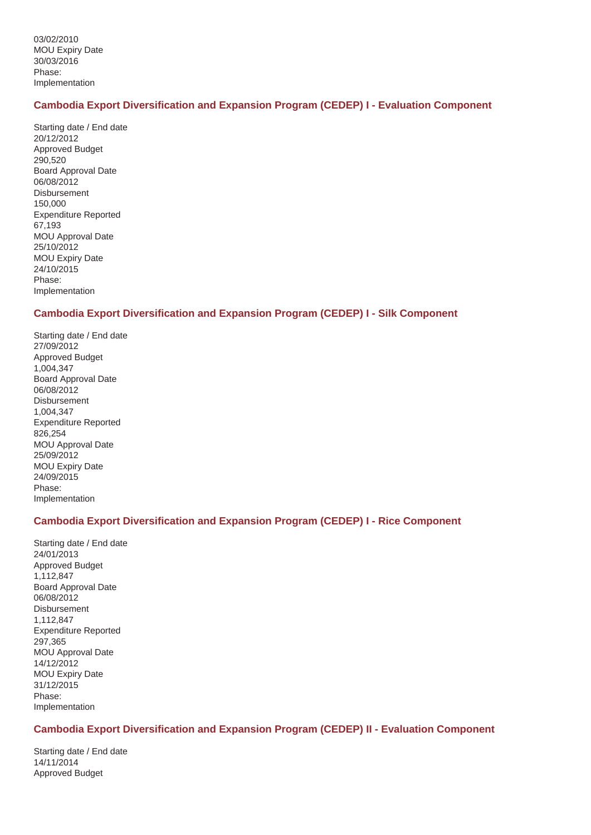## **Cambodia Export Diversification and Expansion Program (CEDEP) I - Evaluation Component**

Starting date / End date 20/12/2012 Approved Budget 290,520 Board Approval Date 06/08/2012 Disbursement 150,000 Expenditure Reported 67,193 MOU Approval Date 25/10/2012 MOU Expiry Date 24/10/2015 Phase: Implementation

## **Cambodia Export Diversification and Expansion Program (CEDEP) I - Silk Component**

Starting date / End date 27/09/2012 Approved Budget 1,004,347 Board Approval Date 06/08/2012 **Disbursement** 1,004,347 Expenditure Reported 826,254 MOU Approval Date 25/09/2012 MOU Expiry Date 24/09/2015 Phase: Implementation

## **Cambodia Export Diversification and Expansion Program (CEDEP) I - Rice Component**

Starting date / End date 24/01/2013 Approved Budget 1,112,847 Board Approval Date 06/08/2012 Disbursement 1,112,847 Expenditure Reported 297,365 MOU Approval Date 14/12/2012 MOU Expiry Date 31/12/2015 Phase: Implementation

## **Cambodia Export Diversification and Expansion Program (CEDEP) II - Evaluation Component**

Starting date / End date 14/11/2014 Approved Budget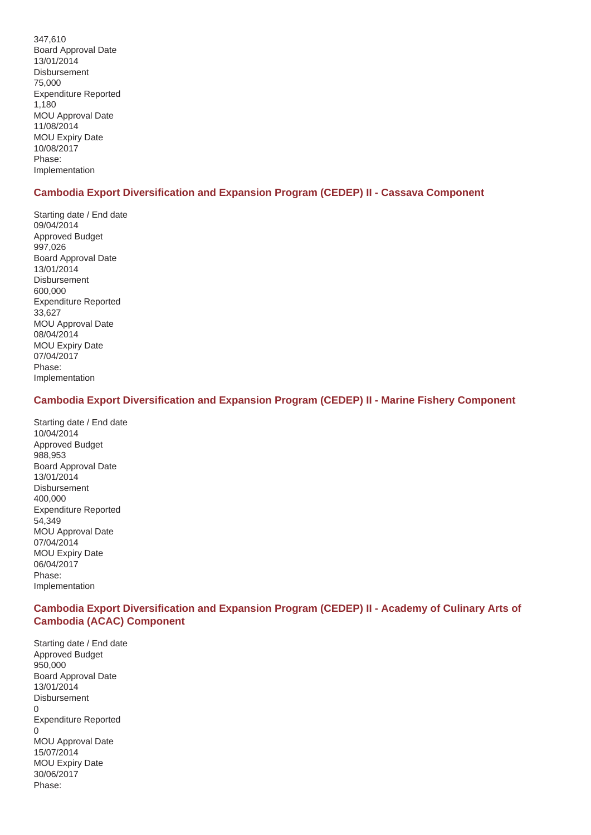347,610 Board Approval Date 13/01/2014 Disbursement 75,000 Expenditure Reported 1,180 MOU Approval Date 11/08/2014 MOU Expiry Date 10/08/2017 Phase: Implementation

## **Cambodia Export Diversification and Expansion Program (CEDEP) II - Cassava Component**

Starting date / End date 09/04/2014 Approved Budget 997,026 Board Approval Date 13/01/2014 Disbursement 600,000 Expenditure Reported 33,627 MOU Approval Date 08/04/2014 MOU Expiry Date 07/04/2017 Phase: Implementation

## **Cambodia Export Diversification and Expansion Program (CEDEP) II - Marine Fishery Component**

Starting date / End date 10/04/2014 Approved Budget 988,953 Board Approval Date 13/01/2014 Disbursement 400,000 Expenditure Reported 54,349 MOU Approval Date 07/04/2014 MOU Expiry Date 06/04/2017 Phase: Implementation

## **Cambodia Export Diversification and Expansion Program (CEDEP) II - Academy of Culinary Arts of Cambodia (ACAC) Component**

Starting date / End date Approved Budget 950,000 Board Approval Date 13/01/2014 Disbursement 0 Expenditure Reported 0 MOU Approval Date 15/07/2014 MOU Expiry Date 30/06/2017 Phase: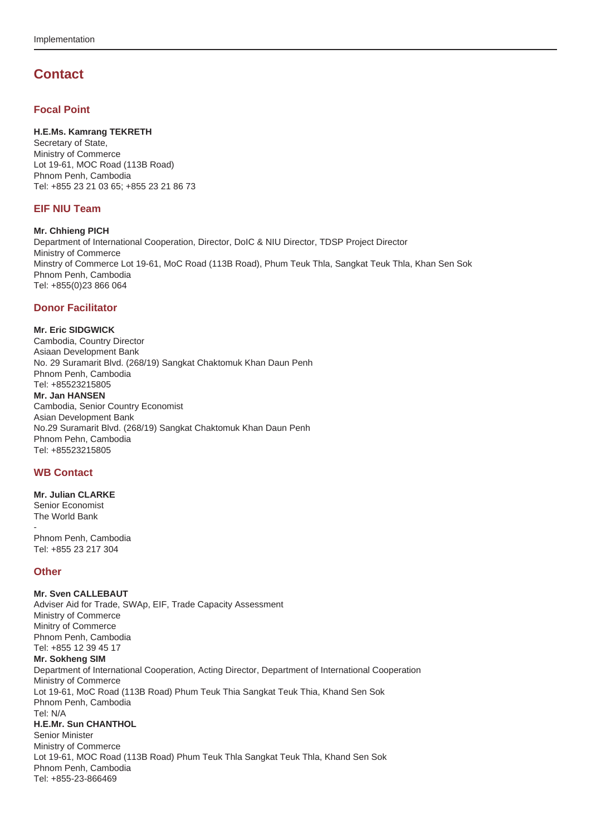# **Contact**

#### **Focal Point**

#### **H.E.Ms. Kamrang TEKRETH**

Secretary of State, Ministry of Commerce Lot 19-61, MOC Road (113B Road) Phnom Penh, Cambodia Tel: +855 23 21 03 65; +855 23 21 86 73

#### **EIF NIU Team**

**Mr. Chhieng PICH** Department of International Cooperation, Director, DoIC & NIU Director, TDSP Project Director Ministry of Commerce Minstry of Commerce Lot 19-61, MoC Road (113B Road), Phum Teuk Thla, Sangkat Teuk Thla, Khan Sen Sok Phnom Penh, Cambodia Tel: +855(0)23 866 064

#### **Donor Facilitator**

#### **Mr. Eric SIDGWICK**

Cambodia, Country Director Asiaan Development Bank No. 29 Suramarit Blvd. (268/19) Sangkat Chaktomuk Khan Daun Penh Phnom Penh, Cambodia Tel: +85523215805 **Mr. Jan HANSEN** Cambodia, Senior Country Economist Asian Development Bank No.29 Suramarit Blvd. (268/19) Sangkat Chaktomuk Khan Daun Penh Phnom Pehn, Cambodia Tel: +85523215805

#### **WB Contact**

#### **Mr. Julian CLARKE** Senior Economist The World Bank

- Phnom Penh, Cambodia Tel: +855 23 217 304

#### **Other**

# **Mr. Sven CALLEBAUT**

Adviser Aid for Trade, SWAp, EIF, Trade Capacity Assessment Ministry of Commerce Minitry of Commerce Phnom Penh, Cambodia Tel: +855 12 39 45 17 **Mr. Sokheng SIM** Department of International Cooperation, Acting Director, Department of International Cooperation Ministry of Commerce Lot 19-61, MoC Road (113B Road) Phum Teuk Thia Sangkat Teuk Thia, Khand Sen Sok Phnom Penh, Cambodia Tel: N/A **H.E.Mr. Sun CHANTHOL** Senior Minister Ministry of Commerce Lot 19-61, MOC Road (113B Road) Phum Teuk Thla Sangkat Teuk Thla, Khand Sen Sok Phnom Penh, Cambodia Tel: +855-23-866469